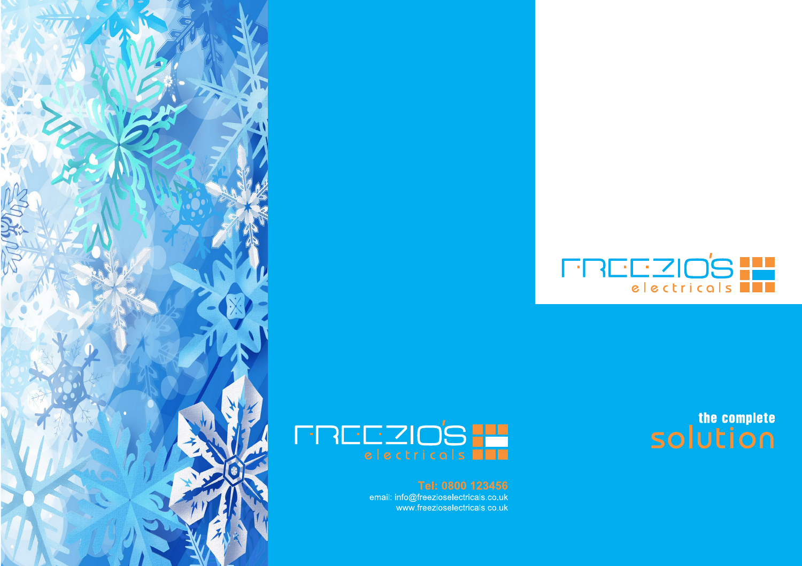

the complete



email: info@freezioselectricals.co.uk www.freezioselectricals.co.uk